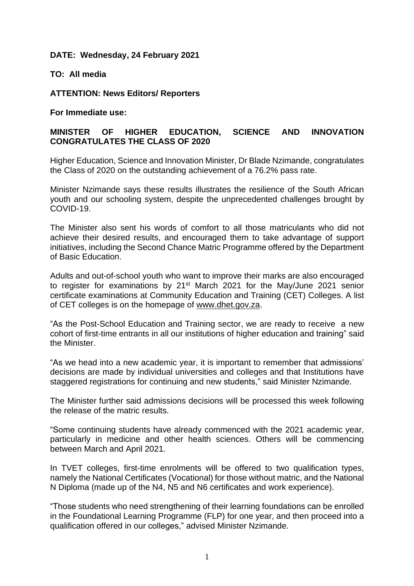### **DATE: Wednesday, 24 February 2021**

**TO: All media**

**ATTENTION: News Editors/ Reporters**

**For Immediate use:**

# **MINISTER OF HIGHER EDUCATION, SCIENCE AND INNOVATION CONGRATULATES THE CLASS OF 2020**

Higher Education, Science and Innovation Minister, Dr Blade Nzimande, congratulates the Class of 2020 on the outstanding achievement of a 76.2% pass rate.

Minister Nzimande says these results illustrates the resilience of the South African youth and our schooling system, despite the unprecedented challenges brought by COVID-19.

The Minister also sent his words of comfort to all those matriculants who did not achieve their desired results, and encouraged them to take advantage of support initiatives, including the Second Chance Matric Programme offered by the Department of Basic Education.

Adults and out-of-school youth who want to improve their marks are also encouraged to register for examinations by 21<sup>st</sup> March 2021 for the May/June 2021 senior certificate examinations at Community Education and Training (CET) Colleges. A list of CET colleges is on the homepage of [www.dhet.gov.za.](http://?)

"As the Post-School Education and Training sector, we are ready to receive a new cohort of first-time entrants in all our institutions of higher education and training" said the Minister.

"As we head into a new academic year, it is important to remember that admissions' decisions are made by individual universities and colleges and that Institutions have staggered registrations for continuing and new students," said Minister Nzimande.

The Minister further said admissions decisions will be processed this week following the release of the matric results.

"Some continuing students have already commenced with the 2021 academic year, particularly in medicine and other health sciences. Others will be commencing between March and April 2021.

In TVET colleges, first-time enrolments will be offered to two qualification types, namely the National Certificates (Vocational) for those without matric, and the National N Diploma (made up of the N4, N5 and N6 certificates and work experience).

"Those students who need strengthening of their learning foundations can be enrolled in the Foundational Learning Programme (FLP) for one year, and then proceed into a qualification offered in our colleges," advised Minister Nzimande.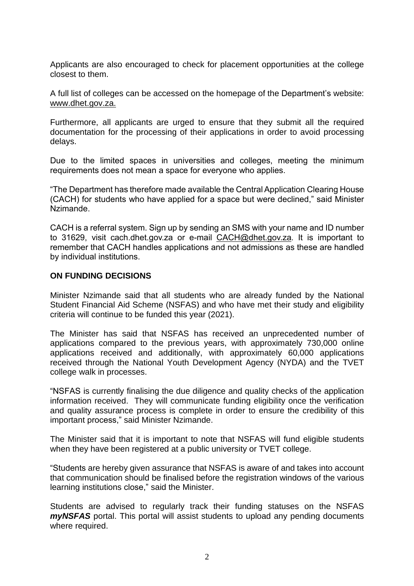Applicants are also encouraged to check for placement opportunities at the college closest to them.

A full list of colleges can be accessed on the homepage of the Department's website: [www.dhet.gov.za.](http://?)

Furthermore, all applicants are urged to ensure that they submit all the required documentation for the processing of their applications in order to avoid processing delays.

Due to the limited spaces in universities and colleges, meeting the minimum requirements does not mean a space for everyone who applies.

"The Department has therefore made available the Central Application Clearing House (CACH) for students who have applied for a space but were declined," said Minister Nzimande.

CACH is a referral system. Sign up by sending an SMS with your name and ID number to 31629, visit cach.dhet.gov.za or e-mail [CACH@dhet.gov.za.](http://?) It is important to remember that CACH handles applications and not admissions as these are handled by individual institutions.

#### **ON FUNDING DECISIONS**

Minister Nzimande said that all students who are already funded by the National Student Financial Aid Scheme (NSFAS) and who have met their study and eligibility criteria will continue to be funded this year (2021).

The Minister has said that NSFAS has received an unprecedented number of applications compared to the previous years, with approximately 730,000 online applications received and additionally, with approximately 60,000 applications received through the National Youth Development Agency (NYDA) and the TVET college walk in processes.

"NSFAS is currently finalising the due diligence and quality checks of the application information received. They will communicate funding eligibility once the verification and quality assurance process is complete in order to ensure the credibility of this important process," said Minister Nzimande.

The Minister said that it is important to note that NSFAS will fund eligible students when they have been registered at a public university or TVET college.

"Students are hereby given assurance that NSFAS is aware of and takes into account that communication should be finalised before the registration windows of the various learning institutions close," said the Minister.

Students are advised to regularly track their funding statuses on the NSFAS *myNSFAS* portal. This portal will assist students to upload any pending documents where required.